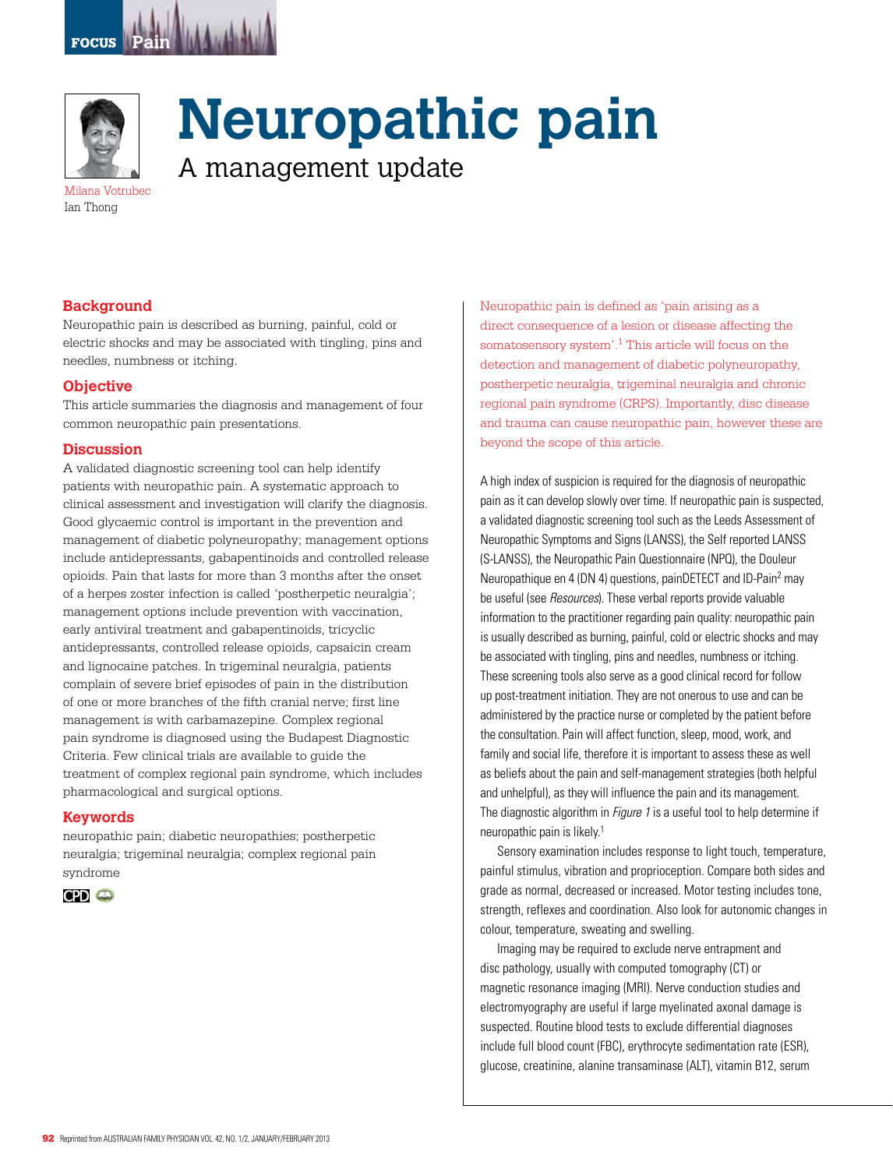



**Neuropathic pain**

A management update

Milana Votrubec Ian Thong

### **Background**

Neuropathic pain is described as burning, painful, cold or electric shocks and may be associated with tingling, pins and needles, numbness or itching.

#### **Objective**

This article summaries the diagnosis and management of four common neuropathic pain presentations.

#### **Discussion**

A validated diagnostic screening tool can help identify patients with neuropathic pain. A systematic approach to clinical assessment and investigation will clarify the diagnosis. Good glycaemic control is important in the prevention and management of diabetic polyneuropathy; management options include antidepressants, gabapentinoids and controlled release opioids. Pain that lasts for more than 3 months after the onset of a herpes zoster infection is called 'postherpetic neuralgia'; management options include prevention with vaccination, early antiviral treatment and gabapentinoids, tricyclic antidepressants, controlled release opioids, capsaicin cream and lignocaine patches. In trigeminal neuralgia, patients complain of severe brief episodes of pain in the distribution of one or more branches of the fifth cranial nerve; first line management is with carbamazepine. Complex regional pain syndrome is diagnosed using the Budapest Diagnostic Criteria. Few clinical trials are available to guide the treatment of complex regional pain syndrome, which includes pharmacological and surgical options.

#### **Keywords**

neuropathic pain; diabetic neuropathies; postherpetic neuralgia; trigeminal neuralgia; complex regional pain syndrome



Neuropathic pain is defined as 'pain arising as a direct consequence of a lesion or disease affecting the somatosensory system'.<sup>1</sup> This article will focus on the detection and management of diabetic polyneuropathy, postherpetic neuralgia, trigeminal neuralgia and chronic regional pain syndrome (CRPS). Importantly, disc disease and trauma can cause neuropathic pain, however these are beyond the scope of this article.

A high index of suspicion is required for the diagnosis of neuropathic pain as it can develop slowly over time. If neuropathic pain is suspected, a validated diagnostic screening tool such as the Leeds Assessment of Neuropathic Symptoms and Signs (LANSS), the Self reported LANSS (S-LANSS), the Neuropathic Pain Questionnaire (NPQ), the Douleur Neuropathique en 4 (DN 4) questions, painDETECT and ID-Pain2 may be useful (see Resources). These verbal reports provide valuable information to the practitioner regarding pain quality: neuropathic pain is usually described as burning, painful, cold or electric shocks and may be associated with tingling, pins and needles, numbness or itching. These screening tools also serve as a good clinical record for follow up post-treatment initiation. They are not onerous to use and can be administered by the practice nurse or completed by the patient before the consultation. Pain will affect function, sleep, mood, work, and family and social life, therefore it is important to assess these as well as beliefs about the pain and self-management strategies (both helpful and unhelpful), as they will influence the pain and its management. The diagnostic algorithm in *Figure 1* is a useful tool to help determine if neuropathic pain is likely.1

Sensory examination includes response to light touch, temperature, painful stimulus, vibration and proprioception. Compare both sides and grade as normal, decreased or increased. Motor testing includes tone, strength, reflexes and coordination. Also look for autonomic changes in colour, temperature, sweating and swelling.

Imaging may be required to exclude nerve entrapment and disc pathology, usually with computed tomography (CT) or magnetic resonance imaging (MRI). Nerve conduction studies and electromyography are useful if large myelinated axonal damage is suspected. Routine blood tests to exclude differential diagnoses include full blood count (FBC), erythrocyte sedimentation rate (ESR), glucose, creatinine, alanine transaminase (ALT), vitamin B12, serum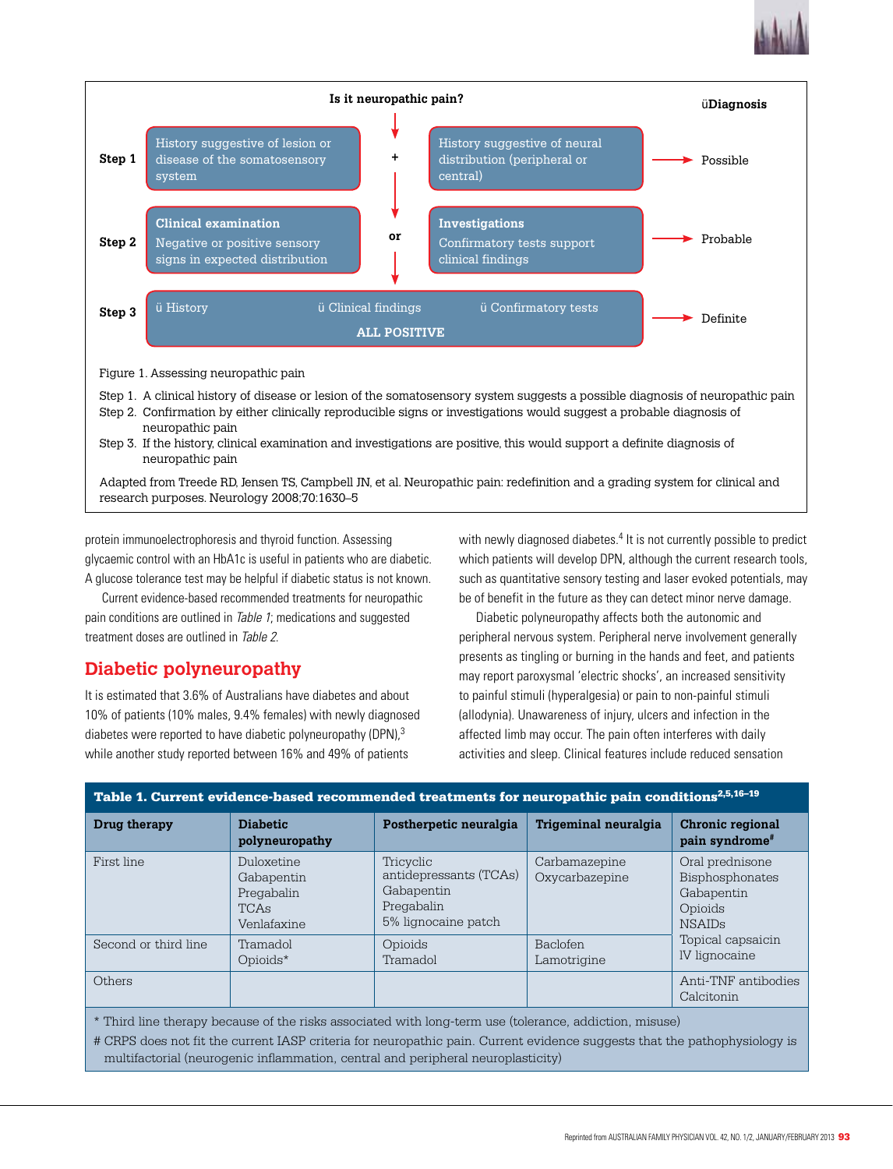



protein immunoelectrophoresis and thyroid function. Assessing glycaemic control with an HbA1c is useful in patients who are diabetic. A glucose tolerance test may be helpful if diabetic status is not known.

Current evidence-based recommended treatments for neuropathic pain conditions are outlined in Table 1; medications and suggested treatment doses are outlined in Table 2.

# **Diabetic polyneuropathy**

It is estimated that 3.6% of Australians have diabetes and about 10% of patients (10% males, 9.4% females) with newly diagnosed diabetes were reported to have diabetic polyneuropathy (DPN),<sup>3</sup> while another study reported between 16% and 49% of patients

with newly diagnosed diabetes.<sup>4</sup> It is not currently possible to predict which patients will develop DPN, although the current research tools, such as quantitative sensory testing and laser evoked potentials, may be of benefit in the future as they can detect minor nerve damage.

Diabetic polyneuropathy affects both the autonomic and peripheral nervous system. Peripheral nerve involvement generally presents as tingling or burning in the hands and feet, and patients may report paroxysmal 'electric shocks', an increased sensitivity to painful stimuli (hyperalgesia) or pain to non-painful stimuli (allodynia). Unawareness of injury, ulcers and infection in the affected limb may occur. The pain often interferes with daily activities and sleep. Clinical features include reduced sensation

| Table 1. Current evidence-based recommended treatments for neuropathic pain conditions <sup>2,5,16–19</sup>                                                                                                                         |                                                               |                                                                                        |                                 |                                                                              |  |
|-------------------------------------------------------------------------------------------------------------------------------------------------------------------------------------------------------------------------------------|---------------------------------------------------------------|----------------------------------------------------------------------------------------|---------------------------------|------------------------------------------------------------------------------|--|
| Drug therapy                                                                                                                                                                                                                        | <b>Diabetic</b><br>polyneuropathy                             | Postherpetic neuralgia                                                                 | Trigeminal neuralgia            | Chronic regional<br>pain syndrome <sup>#</sup>                               |  |
| First line                                                                                                                                                                                                                          | Duloxetine<br>Gabapentin<br>Pregabalin<br>TCAs<br>Venlafaxine | Tricyclic<br>antidepressants (TCAs)<br>Gabapentin<br>Pregabalin<br>5% lignocaine patch | Carbamazepine<br>Oxycarbazepine | Oral prednisone<br>Bisphosphonates<br>Gabapentin<br>Opioids<br><b>NSAIDs</b> |  |
| Second or third line                                                                                                                                                                                                                | Tramadol<br>Opioids*                                          | Opioids<br>Tramadol                                                                    | <b>Baclofen</b><br>Lamotrigine  | Topical capsaicin<br>IV lignocaine                                           |  |
| Others                                                                                                                                                                                                                              |                                                               |                                                                                        |                                 | Anti-TNF antibodies<br>Calcitonin                                            |  |
| * Third line therapy because of the risks associated with long-term use (tolerance, addiction, misuse)<br># CRPS does not fit the current IASP criteria for neuropathic pain. Current evidence suggests that the pathophysiology is |                                                               |                                                                                        |                                 |                                                                              |  |

multifactorial (neurogenic inflammation, central and peripheral neuroplasticity)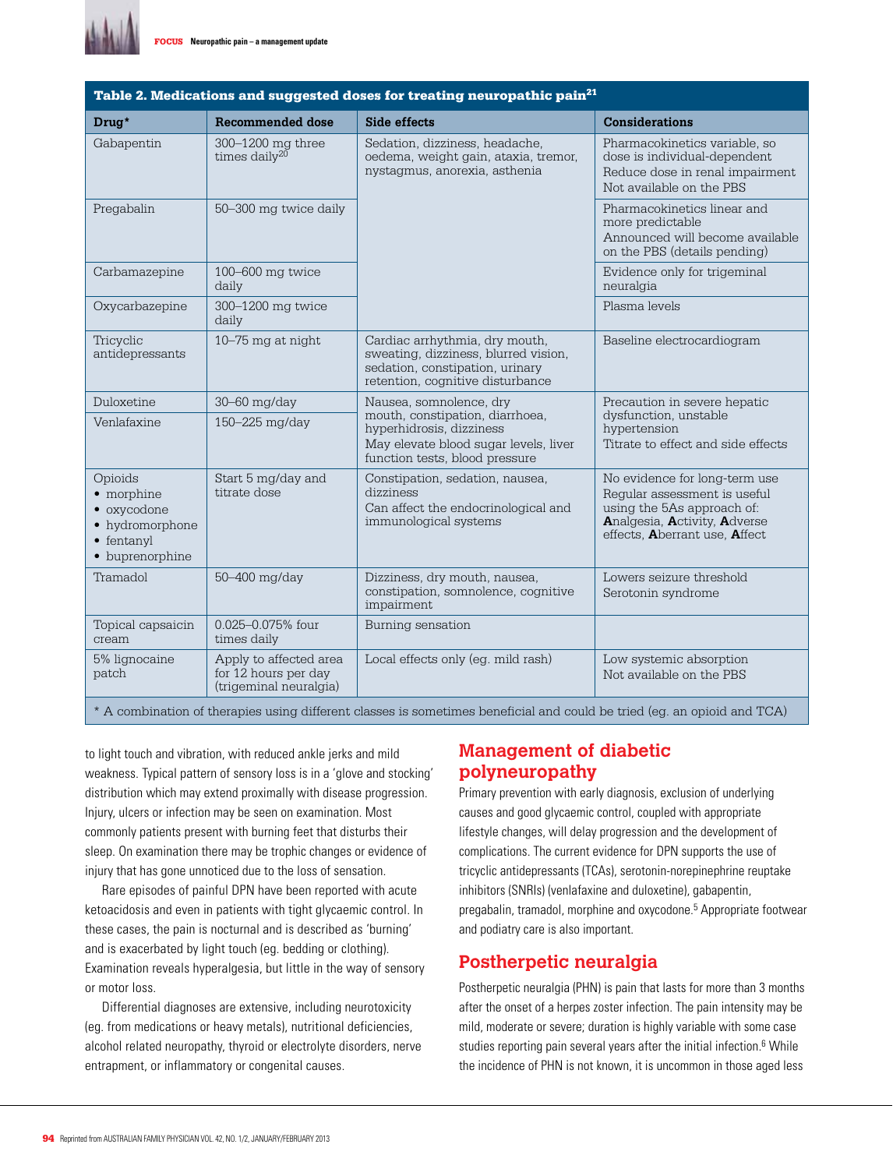

| Table 2. Medications and suggested doses for treating neuropathic pain $^{21}$                   |                                                                          |                                                                                                                                               |                                                                                                                                                              |  |  |
|--------------------------------------------------------------------------------------------------|--------------------------------------------------------------------------|-----------------------------------------------------------------------------------------------------------------------------------------------|--------------------------------------------------------------------------------------------------------------------------------------------------------------|--|--|
| Drug*                                                                                            | <b>Recommended dose</b>                                                  | <b>Side effects</b>                                                                                                                           | <b>Considerations</b>                                                                                                                                        |  |  |
| Gabapentin                                                                                       | 300-1200 mg three<br>times daily <sup>20</sup>                           | Sedation, dizziness, headache,<br>oedema, weight gain, ataxia, tremor,<br>nystagmus, anorexia, asthenia                                       | Pharmacokinetics variable, so<br>dose is individual-dependent<br>Reduce dose in renal impairment<br>Not available on the PBS                                 |  |  |
| Pregabalin                                                                                       | 50-300 mg twice daily                                                    |                                                                                                                                               | Pharmacokinetics linear and<br>more predictable<br>Announced will become available<br>on the PBS (details pending)                                           |  |  |
| Carbamazepine                                                                                    | 100-600 mg twice<br>daily                                                |                                                                                                                                               | Evidence only for trigeminal<br>neuralgia                                                                                                                    |  |  |
| Oxycarbazepine                                                                                   | 300-1200 mg twice<br>daily                                               |                                                                                                                                               | Plasma levels                                                                                                                                                |  |  |
| Tricyclic<br>antidepressants                                                                     | 10-75 mg at night                                                        | Cardiac arrhythmia, dry mouth,<br>sweating, dizziness, blurred vision,<br>sedation, constipation, urinary<br>retention, cognitive disturbance | Baseline electrocardiogram                                                                                                                                   |  |  |
| Duloxetine                                                                                       | 30-60 mg/day                                                             | Nausea, somnolence, dry                                                                                                                       | Precaution in severe hepatic                                                                                                                                 |  |  |
| Venlafaxine                                                                                      | 150-225 mg/day                                                           | mouth, constipation, diarrhoea,<br>hyperhidrosis, dizziness<br>May elevate blood sugar levels, liver<br>function tests, blood pressure        | dysfunction, unstable<br>hypertension<br>Titrate to effect and side effects                                                                                  |  |  |
| Opioids<br>• morphine<br>• oxycodone<br>• hydromorphone<br>$\bullet$ fentanyl<br>• buprenorphine | Start 5 mg/day and<br>titrate dose                                       | Constipation, sedation, nausea,<br>dizziness<br>Can affect the endocrinological and<br>immunological systems                                  | No evidence for long-term use<br>Regular assessment is useful<br>using the 5As approach of:<br>Analgesia, Activity, Adverse<br>effects, Aberrant use, Affect |  |  |
| Tramadol                                                                                         | 50-400 mg/day                                                            | Dizziness, dry mouth, nausea,<br>constipation, somnolence, cognitive<br>impairment                                                            | Lowers seizure threshold<br>Serotonin syndrome                                                                                                               |  |  |
| Topical capsaicin<br>cream                                                                       | 0.025-0.075% four<br>times daily                                         | Burning sensation                                                                                                                             |                                                                                                                                                              |  |  |
| 5% lignocaine<br>patch                                                                           | Apply to affected area<br>for 12 hours per day<br>(trigeminal neuralgia) | Local effects only (eg. mild rash)                                                                                                            | Low systemic absorption<br>Not available on the PBS                                                                                                          |  |  |

### Table 2. Medications and suggested doses for treating neuropathic pain $^\mathrm{21}$

\* A combination of therapies using different classes is sometimes beneficial and could be tried (eg. an opioid and TCA)

to light touch and vibration, with reduced ankle jerks and mild weakness. Typical pattern of sensory loss is in a 'glove and stocking' distribution which may extend proximally with disease progression. Injury, ulcers or infection may be seen on examination. Most commonly patients present with burning feet that disturbs their sleep. On examination there may be trophic changes or evidence of injury that has gone unnoticed due to the loss of sensation.

Rare episodes of painful DPN have been reported with acute ketoacidosis and even in patients with tight glycaemic control. In these cases, the pain is nocturnal and is described as 'burning' and is exacerbated by light touch (eg. bedding or clothing). Examination reveals hyperalgesia, but little in the way of sensory or motor loss.

Differential diagnoses are extensive, including neurotoxicity (eg. from medications or heavy metals), nutritional deficiencies, alcohol related neuropathy, thyroid or electrolyte disorders, nerve entrapment, or inflammatory or congenital causes.

### **Management of diabetic polyneuropathy**

Primary prevention with early diagnosis, exclusion of underlying causes and good glycaemic control, coupled with appropriate lifestyle changes, will delay progression and the development of complications. The current evidence for DPN supports the use of tricyclic antidepressants (TCAs), serotonin-norepinephrine reuptake inhibitors (SNRIs) (venlafaxine and duloxetine), gabapentin, pregabalin, tramadol, morphine and oxycodone.<sup>5</sup> Appropriate footwear and podiatry care is also important.

# **Postherpetic neuralgia**

Postherpetic neuralgia (PHN) is pain that lasts for more than 3 months after the onset of a herpes zoster infection. The pain intensity may be mild, moderate or severe; duration is highly variable with some case studies reporting pain several years after the initial infection.<sup>6</sup> While the incidence of PHN is not known, it is uncommon in those aged less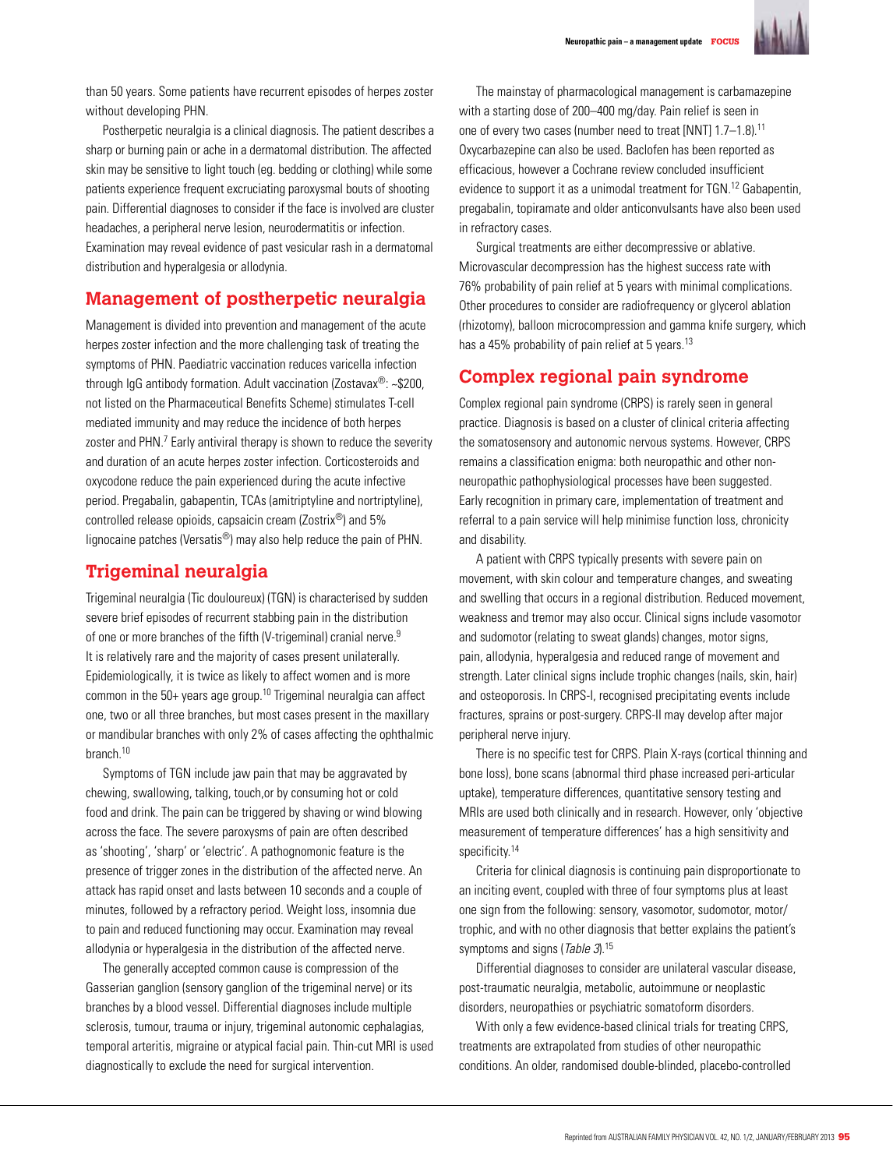

than 50 years. Some patients have recurrent episodes of herpes zoster without developing PHN.

Postherpetic neuralgia is a clinical diagnosis. The patient describes a sharp or burning pain or ache in a dermatomal distribution. The affected skin may be sensitive to light touch (eg. bedding or clothing) while some patients experience frequent excruciating paroxysmal bouts of shooting pain. Differential diagnoses to consider if the face is involved are cluster headaches, a peripheral nerve lesion, neurodermatitis or infection. Examination may reveal evidence of past vesicular rash in a dermatomal distribution and hyperalgesia or allodynia.

# **Management of postherpetic neuralgia**

Management is divided into prevention and management of the acute herpes zoster infection and the more challenging task of treating the symptoms of PHN. Paediatric vaccination reduces varicella infection through IgG antibody formation. Adult vaccination (Zostavax®: ~\$200, not listed on the Pharmaceutical Benefits Scheme) stimulates T-cell mediated immunity and may reduce the incidence of both herpes zoster and PHN.<sup>7</sup> Early antiviral therapy is shown to reduce the severity and duration of an acute herpes zoster infection. Corticosteroids and oxycodone reduce the pain experienced during the acute infective period. Pregabalin, gabapentin, TCAs (amitriptyline and nortriptyline), controlled release opioids, capsaicin cream (Zostrix®) and 5% lignocaine patches (Versatis®) may also help reduce the pain of PHN.

### **Trigeminal neuralgia**

Trigeminal neuralgia (Tic douloureux) (TGN) is characterised by sudden severe brief episodes of recurrent stabbing pain in the distribution of one or more branches of the fifth (V-trigeminal) cranial nerve.<sup>9</sup> It is relatively rare and the majority of cases present unilaterally. Epidemiologically, it is twice as likely to affect women and is more common in the 50+ years age group.<sup>10</sup> Trigeminal neuralgia can affect one, two or all three branches, but most cases present in the maxillary or mandibular branches with only 2% of cases affecting the ophthalmic branch.10

Symptoms of TGN include jaw pain that may be aggravated by chewing, swallowing, talking, touch,or by consuming hot or cold food and drink. The pain can be triggered by shaving or wind blowing across the face. The severe paroxysms of pain are often described as 'shooting', 'sharp' or 'electric'. A pathognomonic feature is the presence of trigger zones in the distribution of the affected nerve. An attack has rapid onset and lasts between 10 seconds and a couple of minutes, followed by a refractory period. Weight loss, insomnia due to pain and reduced functioning may occur. Examination may reveal allodynia or hyperalgesia in the distribution of the affected nerve.

The generally accepted common cause is compression of the Gasserian ganglion (sensory ganglion of the trigeminal nerve) or its branches by a blood vessel. Differential diagnoses include multiple sclerosis, tumour, trauma or injury, trigeminal autonomic cephalagias, temporal arteritis, migraine or atypical facial pain. Thin-cut MRI is used diagnostically to exclude the need for surgical intervention.

The mainstay of pharmacological management is carbamazepine with a starting dose of 200–400 mg/day. Pain relief is seen in one of every two cases (number need to treat [NNT] 1.7–1.8).11 Oxycarbazepine can also be used. Baclofen has been reported as efficacious, however a Cochrane review concluded insufficient evidence to support it as a unimodal treatment for TGN. 12 Gabapentin, pregabalin, topiramate and older anticonvulsants have also been used in refractory cases.

Surgical treatments are either decompressive or ablative. Microvascular decompression has the highest success rate with 76% probability of pain relief at 5 years with minimal complications. Other procedures to consider are radiofrequency or glycerol ablation (rhizotomy), balloon microcompression and gamma knife surgery, which has a 45% probability of pain relief at 5 years.<sup>13</sup>

### **Complex regional pain syndrome**

Complex regional pain syndrome (CRPS) is rarely seen in general practice. Diagnosis is based on a cluster of clinical criteria affecting the somatosensory and autonomic nervous systems. However, CRPS remains a classification enigma: both neuropathic and other nonneuropathic pathophysiological processes have been suggested. Early recognition in primary care, implementation of treatment and referral to a pain service will help minimise function loss, chronicity and disability.

A patient with CRPS typically presents with severe pain on movement, with skin colour and temperature changes, and sweating and swelling that occurs in a regional distribution. Reduced movement, weakness and tremor may also occur. Clinical signs include vasomotor and sudomotor (relating to sweat glands) changes, motor signs, pain, allodynia, hyperalgesia and reduced range of movement and strength. Later clinical signs include trophic changes (nails, skin, hair) and osteoporosis. In CRPS-I, recognised precipitating events include fractures, sprains or post-surgery. CRPS-II may develop after major peripheral nerve injury.

There is no specific test for CRPS. Plain X-rays (cortical thinning and bone loss), bone scans (abnormal third phase increased peri-articular uptake), temperature differences, quantitative sensory testing and MRIs are used both clinically and in research. However, only 'objective measurement of temperature differences' has a high sensitivity and specificity.<sup>14</sup>

Criteria for clinical diagnosis is continuing pain disproportionate to an inciting event, coupled with three of four symptoms plus at least one sign from the following: sensory, vasomotor, sudomotor, motor/ trophic, and with no other diagnosis that better explains the patient's symptoms and signs (Table 3).<sup>15</sup>

Differential diagnoses to consider are unilateral vascular disease, post-traumatic neuralgia, metabolic, autoimmune or neoplastic disorders, neuropathies or psychiatric somatoform disorders.

With only a few evidence-based clinical trials for treating CRPS, treatments are extrapolated from studies of other neuropathic conditions. An older, randomised double-blinded, placebo-controlled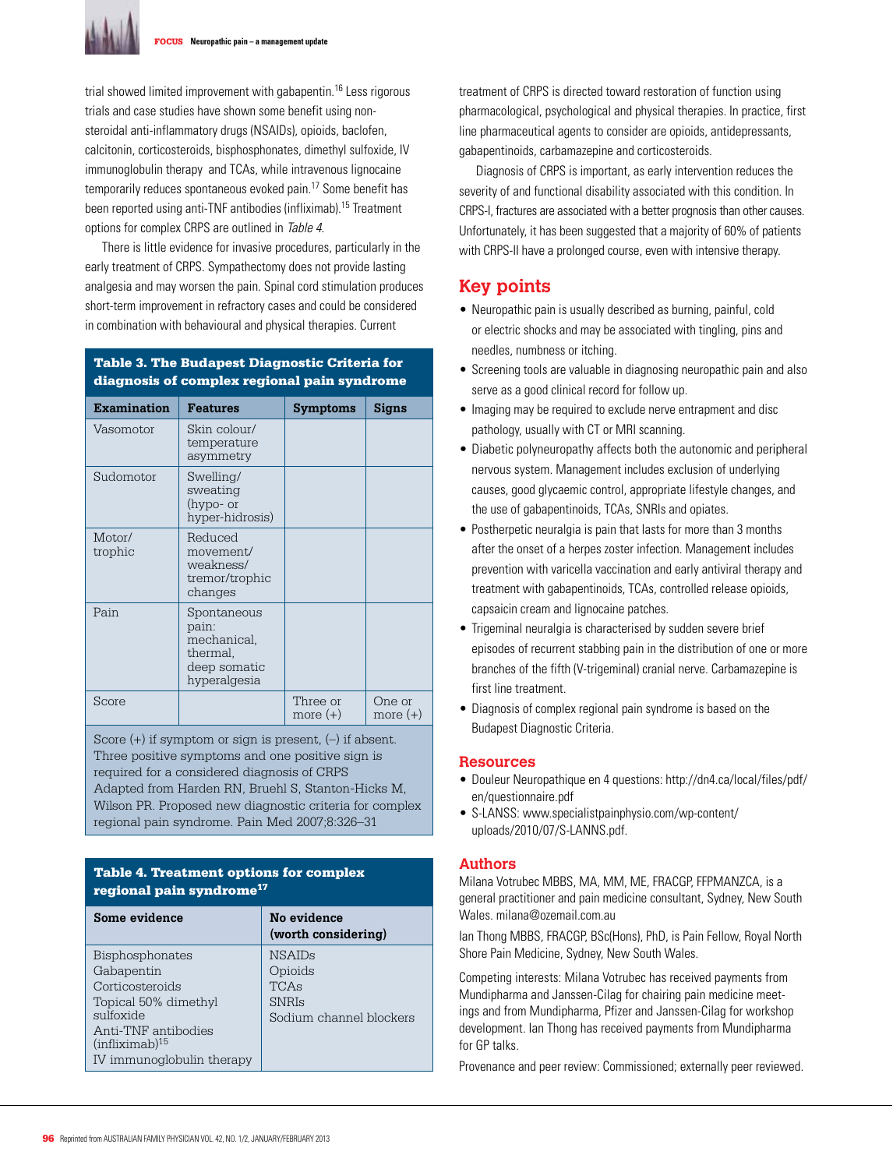

trial showed limited improvement with gabapentin.16 Less rigorous trials and case studies have shown some benefit using nonsteroidal anti-inflammatory drugs (NSAIDs), opioids, baclofen, calcitonin, corticosteroids, bisphosphonates, dimethyl sulfoxide, IV immunoglobulin therapy and TCAs, while intravenous lignocaine temporarily reduces spontaneous evoked pain.<sup>17</sup> Some benefit has been reported using anti-TNF antibodies (infliximab).15 Treatment options for complex CRPS are outlined in Table 4.

There is little evidence for invasive procedures, particularly in the early treatment of CRPS. Sympathectomy does not provide lasting analgesia and may worsen the pain. Spinal cord stimulation produces short-term improvement in refractory cases and could be considered in combination with behavioural and physical therapies. Current

### Table 3. The Budapest Diagnostic Criteria for diagnosis of complex regional pain syndrome

| <b>Examination</b> | <b>Features</b>                                                                 | <b>Symptoms</b>        | Signs                |
|--------------------|---------------------------------------------------------------------------------|------------------------|----------------------|
| Vasomotor          | Skin colour/<br>temperature<br>asymmetry                                        |                        |                      |
| Sudomotor          | Swelling/<br>sweating<br>(hypo- or<br>hyper-hidrosis)                           |                        |                      |
| Motor/<br>trophic  | Reduced<br>movement/<br>weakness/<br>tremor/trophic<br>changes                  |                        |                      |
| Pain               | Spontaneous<br>pain:<br>mechanical,<br>thermal,<br>deep somatic<br>hyperalgesia |                        |                      |
| Score              |                                                                                 | Three or<br>more $(+)$ | One or<br>more $(+)$ |

Score (+) if symptom or sign is present, (–) if absent. Three positive symptoms and one positive sign is required for a considered diagnosis of CRPS Adapted from Harden RN, Bruehl S, Stanton-Hicks M, Wilson PR. Proposed new diagnostic criteria for complex regional pain syndrome. Pain Med 2007;8:326–31

#### Table 4. Treatment options for complex regional pain syndrome<sup>17</sup>

| Some evidence              | No evidence<br>(worth considering) |
|----------------------------|------------------------------------|
| <b>Bisphosphonates</b>     | <b>NSAIDs</b>                      |
| Gabapentin                 | Opioids                            |
| Corticosteroids            | TCAs                               |
| Topical 50% dimethyl       | <b>SNRIs</b>                       |
| sulfoxide                  | Sodium channel blockers            |
| Anti-TNF antibodies        |                                    |
| (infliximab) <sup>15</sup> |                                    |
| IV immunoglobulin therapy  |                                    |

treatment of CRPS is directed toward restoration of function using pharmacological, psychological and physical therapies. In practice, first line pharmaceutical agents to consider are opioids, antidepressants, gabapentinoids, carbamazepine and corticosteroids.

Diagnosis of CRPS is important, as early intervention reduces the severity of and functional disability associated with this condition. In CRPS-I, fractures are associated with a better prognosis than other causes. Unfortunately, it has been suggested that a majority of 60% of patients with CRPS-II have a prolonged course, even with intensive therapy.

# **Key points**

- Neuropathic pain is usually described as burning, painful, cold or electric shocks and may be associated with tingling, pins and needles, numbness or itching.
- Screening tools are valuable in diagnosing neuropathic pain and also serve as a good clinical record for follow up.
- Imaging may be required to exclude nerve entrapment and disc pathology, usually with CT or MRI scanning.
- Diabetic polyneuropathy affects both the autonomic and peripheral nervous system. Management includes exclusion of underlying causes, good glycaemic control, appropriate lifestyle changes, and the use of gabapentinoids, TCAs, SNRIs and opiates.
- Postherpetic neuralgia is pain that lasts for more than 3 months after the onset of a herpes zoster infection. Management includes prevention with varicella vaccination and early antiviral therapy and treatment with gabapentinoids, TCAs, controlled release opioids, capsaicin cream and lignocaine patches.
- Trigeminal neuralgia is characterised by sudden severe brief episodes of recurrent stabbing pain in the distribution of one or more branches of the fifth (V-trigeminal) cranial nerve. Carbamazepine is first line treatment.
- Diagnosis of complex regional pain syndrome is based on the Budapest Diagnostic Criteria.

#### **Resources**

- Douleur Neuropathique en 4 questions: http://dn4.ca/local/files/pdf/ en/questionnaire.pdf
- S-LANSS: www.specialistpainphysio.com/wp-content/ uploads/2010/07/S-LANNS.pdf.

#### **Authors**

Milana Votrubec MBBS, MA, MM, ME, FRACGP, FFPMANZCA, is a general practitioner and pain medicine consultant, Sydney, New South Wales. milana@ozemail.com.au

Ian Thong MBBS, FRACGP, BSc(Hons), PhD, is Pain Fellow, Royal North Shore Pain Medicine, Sydney, New South Wales.

Competing interests: Milana Votrubec has received payments from Mundipharma and Janssen-Cilag for chairing pain medicine meetings and from Mundipharma, Pfizer and Janssen-Cilag for workshop development. Ian Thong has received payments from Mundipharma for GP talks.

Provenance and peer review: Commissioned; externally peer reviewed.